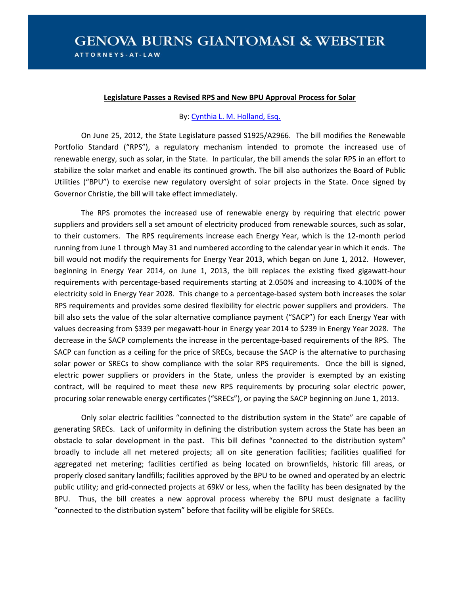## **Legislature Passes a Revised RPS and New BPU Approval Process for Solar**

## By[: Cynthia L. M. Holland, Esq.](http://genovaburns.com/attorney_detail.aspx?aid=91)

On June 25, 2012, the State Legislature passed S1925/A2966. The bill modifies the Renewable Portfolio Standard ("RPS"), a regulatory mechanism intended to promote the increased use of renewable energy, such as solar, in the State. In particular, the bill amends the solar RPS in an effort to stabilize the solar market and enable its continued growth. The bill also authorizes the Board of Public Utilities ("BPU") to exercise new regulatory oversight of solar projects in the State. Once signed by Governor Christie, the bill will take effect immediately.

The RPS promotes the increased use of renewable energy by requiring that electric power suppliers and providers sell a set amount of electricity produced from renewable sources, such as solar, to their customers. The RPS requirements increase each Energy Year, which is the 12-month period running from June 1 through May 31 and numbered according to the calendar year in which it ends. The bill would not modify the requirements for Energy Year 2013, which began on June 1, 2012. However, beginning in Energy Year 2014, on June 1, 2013, the bill replaces the existing fixed gigawatt-hour requirements with percentage-based requirements starting at 2.050% and increasing to 4.100% of the electricity sold in Energy Year 2028. This change to a percentage-based system both increases the solar RPS requirements and provides some desired flexibility for electric power suppliers and providers. The bill also sets the value of the solar alternative compliance payment ("SACP") for each Energy Year with values decreasing from \$339 per megawatt-hour in Energy year 2014 to \$239 in Energy Year 2028. The decrease in the SACP complements the increase in the percentage-based requirements of the RPS. The SACP can function as a ceiling for the price of SRECs, because the SACP is the alternative to purchasing solar power or SRECs to show compliance with the solar RPS requirements. Once the bill is signed, electric power suppliers or providers in the State, unless the provider is exempted by an existing contract, will be required to meet these new RPS requirements by procuring solar electric power, procuring solar renewable energy certificates ("SRECs"), or paying the SACP beginning on June 1, 2013.

Only solar electric facilities "connected to the distribution system in the State" are capable of generating SRECs. Lack of uniformity in defining the distribution system across the State has been an obstacle to solar development in the past. This bill defines "connected to the distribution system" broadly to include all net metered projects; all on site generation facilities; facilities qualified for aggregated net metering; facilities certified as being located on brownfields, historic fill areas, or properly closed sanitary landfills; facilities approved by the BPU to be owned and operated by an electric public utility; and grid-connected projects at 69kV or less, when the facility has been designated by the BPU. Thus, the bill creates a new approval process whereby the BPU must designate a facility "connected to the distribution system" before that facility will be eligible for SRECs.